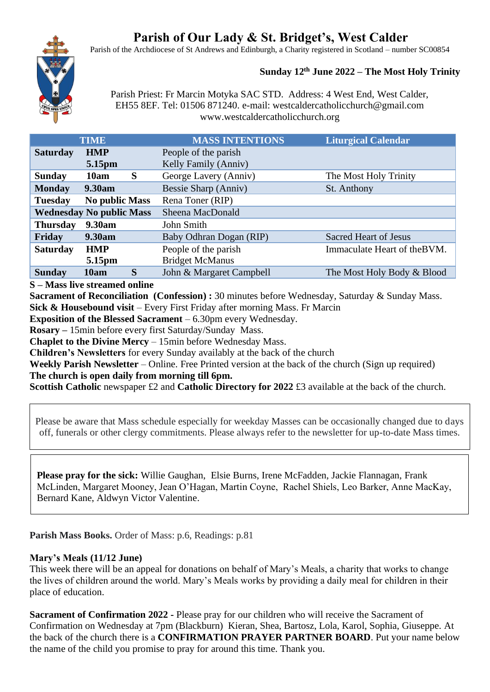# **Parish of Our Lady & St. Bridget's, West Calder**

Parish of the Archdiocese of St Andrews and Edinburgh, a Charity registered in Scotland – number SC00854



## **Sunday 12th June 2022 – The Most Holy Trinity**

Parish Priest: Fr Marcin Motyka SAC STD. Address: 4 West End, West Calder, EH55 8EF. Tel: 01506 871240. e-mail: westcaldercatholicchurch@gmail.com www.westcaldercatholicchurch.org

| <b>TIME</b>                             | <b>MASS INTENTIONS</b>   | <b>Liturgical Calendar</b>   |
|-----------------------------------------|--------------------------|------------------------------|
| <b>Saturday</b><br><b>HMP</b>           | People of the parish     |                              |
| 5.15pm                                  | Kelly Family (Anniv)     |                              |
| S<br><b>Sunday</b><br>10am              | George Lavery (Anniv)    | The Most Holy Trinity        |
| <b>Monday</b><br><b>9.30am</b>          | Bessie Sharp (Anniv)     | St. Anthony                  |
| <b>No public Mass</b><br><b>Tuesday</b> | Rena Toner (RIP)         |                              |
| <b>Wednesday No public Mass</b>         | Sheena MacDonald         |                              |
| <b>Thursday</b><br>9.30am               | John Smith               |                              |
| Friday<br>9.30am                        | Baby Odhran Dogan (RIP)  | <b>Sacred Heart of Jesus</b> |
| <b>Saturday</b><br><b>HMP</b>           | People of the parish     | Immaculate Heart of the BVM. |
| 5.15pm                                  | <b>Bridget McManus</b>   |                              |
| S<br>10am<br><b>Sunday</b>              | John & Margaret Campbell | The Most Holy Body & Blood   |

**S – Mass live streamed online**

**Sacrament of Reconciliation (Confession) :** 30 minutes before Wednesday, Saturday & Sunday Mass. **Sick & Housebound visit** – Every First Friday after morning Mass. Fr Marcin

**Exposition of the Blessed Sacrament** – 6.30pm every Wednesday.

**Rosary –** 15min before every first Saturday/Sunday Mass.

**Chaplet to the Divine Mercy** – 15min before Wednesday Mass.

**Children's Newsletters** for every Sunday availably at the back of the church

**Weekly Parish Newsletter** – Online. Free Printed version at the back of the church (Sign up required) **The church is open daily from morning till 6pm.** 

**Scottish Catholic newspaper £2 and Catholic Directory for 2022 £3 available at the back of the church.** 

Please be aware that Mass schedule especially for weekday Masses can be occasionally changed due to days off, funerals or other clergy commitments. Please always refer to the newsletter for up-to-date Mass times.

**Please pray for the sick:** Willie Gaughan, Elsie Burns, Irene McFadden, Jackie Flannagan, Frank McLinden, Margaret Mooney, Jean O'Hagan, Martin Coyne, Rachel Shiels, Leo Barker, Anne MacKay, Bernard Kane, Aldwyn Victor Valentine.

**Parish Mass Books.** Order of Mass: p.6, Readings: p.81

# **Mary's Meals (11/12 June)**

This week there will be an appeal for donations on behalf of Mary's Meals, a charity that works to change the lives of children around the world. Mary's Meals works by providing a daily meal for children in their place of education.

**Sacrament of Confirmation 2022 -** Please pray for our children who will receive the Sacrament of Confirmation on Wednesday at 7pm (Blackburn) Kieran, Shea, Bartosz, Lola, Karol, Sophia, Giuseppe. At the back of the church there is a **CONFIRMATION PRAYER PARTNER BOARD**. Put your name below the name of the child you promise to pray for around this time. Thank you.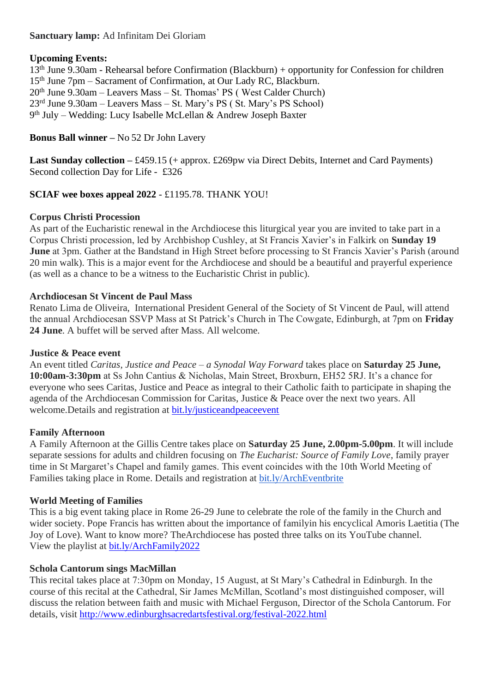# **Sanctuary lamp:** Ad Infinitam Dei Gloriam

## **Upcoming Events:**

th June 9.30am - Rehearsal before Confirmation (Blackburn) + opportunity for Confession for children th June 7pm – Sacrament of Confirmation, at Our Lady RC, Blackburn. th June 9.30am – Leavers Mass – St. Thomas' PS ( West Calder Church) rd June 9.30am – Leavers Mass – St. Mary's PS ( St. Mary's PS School) th July – Wedding: Lucy Isabelle McLellan & Andrew Joseph Baxter

# **Bonus Ball winner –** No 52 Dr John Lavery

Last Sunday collection – £459.15 (+ approx. £269pw via Direct Debits, Internet and Card Payments) Second collection Day for Life - £326

# **SCIAF wee boxes appeal 2022** - £1195.78. THANK YOU!

## **Corpus Christi Procession**

As part of the Eucharistic renewal in the Archdiocese this liturgical year you are invited to take part in a Corpus Christi procession, led by Archbishop Cushley, at St Francis Xavier's in Falkirk on **Sunday 19 June** at 3pm. Gather at the Bandstand in High Street before processing to St Francis Xavier's Parish (around 20 min walk). This is a major event for the Archdiocese and should be a beautiful and prayerful experience (as well as a chance to be a witness to the Eucharistic Christ in public).

## **Archdiocesan St Vincent de Paul Mass**

Renato Lima de Oliveira, International President General of the Society of St Vincent de Paul, will attend the annual Archdiocesan SSVP Mass at St Patrick's Church in The Cowgate, Edinburgh, at 7pm on **Friday 24 June**. A buffet will be served after Mass. All welcome.

#### **Justice & Peace event**

An event titled *Caritas, Justice and Peace – a Synodal Way Forward* takes place on **Saturday 25 June, 10:00am-3:30pm** at Ss John Cantius & Nicholas, Main Street, Broxburn, EH52 5RJ. It's a chance for everyone who sees Caritas, Justice and Peace as integral to their Catholic faith to participate in shaping the agenda of the Archdiocesan Commission for Caritas, Justice & Peace over the next two years. All welcome. Details and registration at bit. ly/justiceand peace event

# **Family Afternoon**

A Family Afternoon at the Gillis Centre takes place on **Saturday 25 June, 2.00pm-5.00pm**. It will include separate sessions for adults and children focusing on *The Eucharist: Source of Family Love*, family prayer time in St Margaret's Chapel and family games. This event coincides with the 10th World Meeting of Families taking place in Rome. Details and registration at [bit.ly/ArchEventbrite](https://bit.ly/ArchEventbrite)

#### **World Meeting of Families**

This is a big event taking place in Rome 26-29 June to celebrate the role of the family in the Church and wider society. Pope Francis has written about the importance of familyin his encyclical Amoris Laetitia (The Joy of Love). Want to know more? TheArchdiocese has posted three talks on its YouTube channel. View the playlist at [bit.ly/ArchFamily2022](https://www.youtube.com/playlist?list=PLQv_xMj23KQgSetlM_e3kCFxdy9Tya7B2)

# **Schola Cantorum sings MacMillan**

This recital takes place at 7:30pm on Monday, 15 August, at St Mary's Cathedral in Edinburgh. In the course of this recital at the Cathedral, Sir James McMillan, Scotland's most distinguished composer, will discuss the relation between faith and music with Michael Ferguson, Director of the Schola Cantorum. For details, visit <http://www.edinburghsacredartsfestival.org/festival-2022.html>